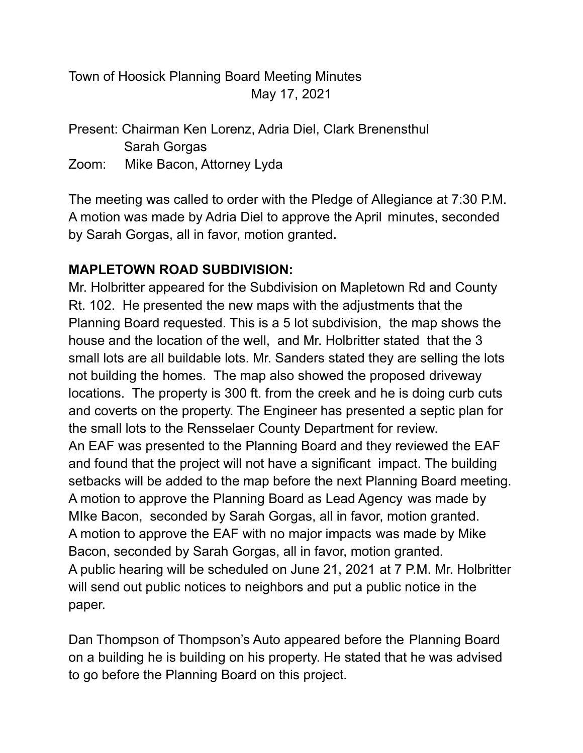Town of Hoosick Planning Board Meeting Minutes May 17, 2021

Present: Chairman Ken Lorenz, Adria Diel, Clark Brenensthul Sarah Gorgas

Zoom: Mike Bacon, Attorney Lyda

The meeting was called to order with the Pledge of Allegiance at 7:30 P.M. A motion was made by Adria Diel to approve the April minutes, seconded by Sarah Gorgas, all in favor, motion granted**.**

## **MAPLETOWN ROAD SUBDIVISION:**

Mr. Holbritter appeared for the Subdivision on Mapletown Rd and County Rt. 102. He presented the new maps with the adjustments that the Planning Board requested. This is a 5 lot subdivision, the map shows the house and the location of the well, and Mr. Holbritter stated that the 3 small lots are all buildable lots. Mr. Sanders stated they are selling the lots not building the homes. The map also showed the proposed driveway locations. The property is 300 ft. from the creek and he is doing curb cuts and coverts on the property. The Engineer has presented a septic plan for the small lots to the Rensselaer County Department for review. An EAF was presented to the Planning Board and they reviewed the EAF and found that the project will not have a significant impact. The building setbacks will be added to the map before the next Planning Board meeting. A motion to approve the Planning Board as Lead Agency was made by MIke Bacon, seconded by Sarah Gorgas, all in favor, motion granted. A motion to approve the EAF with no major impacts was made by Mike Bacon, seconded by Sarah Gorgas, all in favor, motion granted. A public hearing will be scheduled on June 21, 2021 at 7 P.M. Mr. Holbritter will send out public notices to neighbors and put a public notice in the paper.

Dan Thompson of Thompson's Auto appeared before the Planning Board on a building he is building on his property. He stated that he was advised to go before the Planning Board on this project.